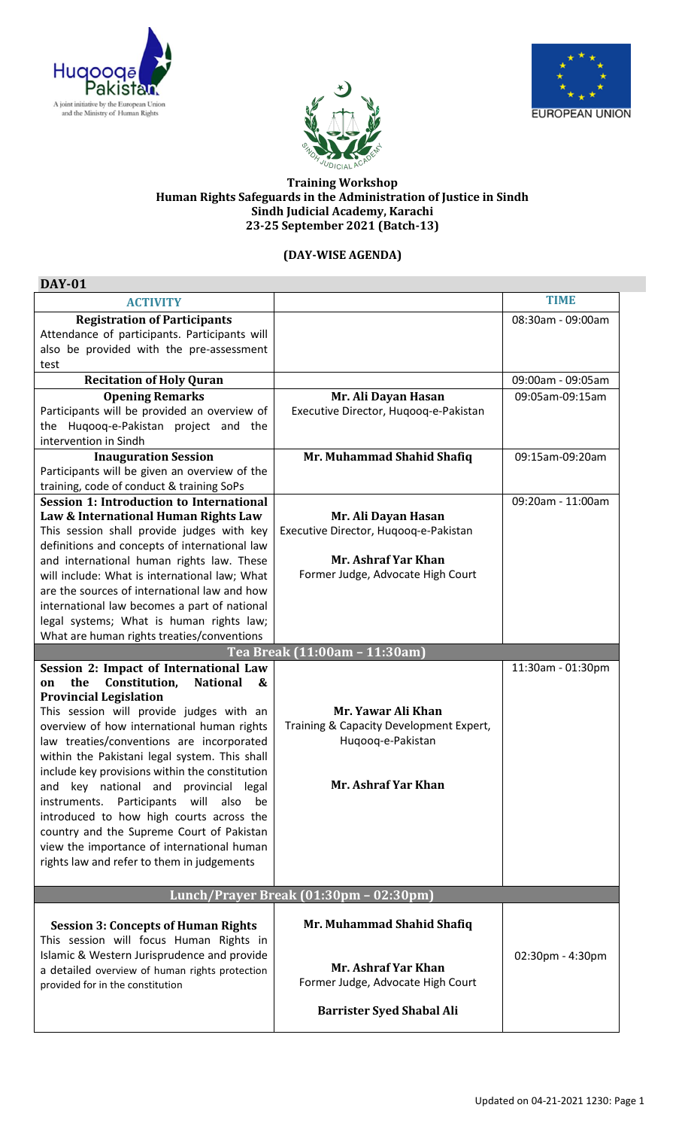





## **Training Workshop Human Rights Safeguards in the Administration of Justice in Sindh Sindh Judicial Academy, Karachi 23-25 September 2021 (Batch-13)**

## **(DAY-WISE AGENDA)**

| <b>DAY-01</b>                                                             |                                         |                   |  |
|---------------------------------------------------------------------------|-----------------------------------------|-------------------|--|
| <b>ACTIVITY</b>                                                           |                                         | <b>TIME</b>       |  |
| <b>Registration of Participants</b>                                       |                                         | 08:30am - 09:00am |  |
| Attendance of participants. Participants will                             |                                         |                   |  |
| also be provided with the pre-assessment                                  |                                         |                   |  |
| test                                                                      |                                         |                   |  |
| <b>Recitation of Holy Quran</b>                                           |                                         | 09:00am - 09:05am |  |
| <b>Opening Remarks</b>                                                    | Mr. Ali Dayan Hasan                     | 09:05am-09:15am   |  |
| Participants will be provided an overview of                              | Executive Director, Hugoog-e-Pakistan   |                   |  |
| the Huqooq-e-Pakistan project and the                                     |                                         |                   |  |
| intervention in Sindh<br><b>Inauguration Session</b>                      |                                         | 09:15am-09:20am   |  |
| Participants will be given an overview of the                             | Mr. Muhammad Shahid Shafiq              |                   |  |
| training, code of conduct & training SoPs                                 |                                         |                   |  |
| <b>Session 1: Introduction to International</b>                           |                                         | 09:20am - 11:00am |  |
| Law & International Human Rights Law                                      | Mr. Ali Dayan Hasan                     |                   |  |
| This session shall provide judges with key                                | Executive Director, Hugoog-e-Pakistan   |                   |  |
| definitions and concepts of international law                             |                                         |                   |  |
| and international human rights law. These                                 | Mr. Ashraf Yar Khan                     |                   |  |
| will include: What is international law; What                             | Former Judge, Advocate High Court       |                   |  |
| are the sources of international law and how                              |                                         |                   |  |
| international law becomes a part of national                              |                                         |                   |  |
| legal systems; What is human rights law;                                  |                                         |                   |  |
| What are human rights treaties/conventions                                |                                         |                   |  |
|                                                                           | Tea Break (11:00am - 11:30am)           |                   |  |
| Session 2: Impact of International Law                                    |                                         | 11:30am - 01:30pm |  |
| Constitution,<br>the<br><b>National</b><br>&<br>on                        |                                         |                   |  |
| <b>Provincial Legislation</b><br>This session will provide judges with an | Mr. Yawar Ali Khan                      |                   |  |
| overview of how international human rights                                | Training & Capacity Development Expert, |                   |  |
| law treaties/conventions are incorporated                                 | Huqooq-e-Pakistan                       |                   |  |
| within the Pakistani legal system. This shall                             |                                         |                   |  |
| include key provisions within the constitution                            |                                         |                   |  |
| key national and provincial legal<br>and                                  | Mr. Ashraf Yar Khan                     |                   |  |
| Participants will<br>also<br>instruments.<br>be                           |                                         |                   |  |
| introduced to how high courts across the                                  |                                         |                   |  |
| country and the Supreme Court of Pakistan                                 |                                         |                   |  |
| view the importance of international human                                |                                         |                   |  |
| rights law and refer to them in judgements                                |                                         |                   |  |
|                                                                           |                                         |                   |  |
| Lunch/Prayer Break (01:30pm - 02:30pm)                                    |                                         |                   |  |
|                                                                           |                                         |                   |  |
| <b>Session 3: Concepts of Human Rights</b>                                | Mr. Muhammad Shahid Shafiq              |                   |  |
| This session will focus Human Rights in                                   |                                         |                   |  |
| Islamic & Western Jurisprudence and provide                               |                                         | 02:30pm - 4:30pm  |  |
| a detailed overview of human rights protection                            | Mr. Ashraf Yar Khan                     |                   |  |
| provided for in the constitution                                          | Former Judge, Advocate High Court       |                   |  |
|                                                                           | <b>Barrister Syed Shabal Ali</b>        |                   |  |
|                                                                           |                                         |                   |  |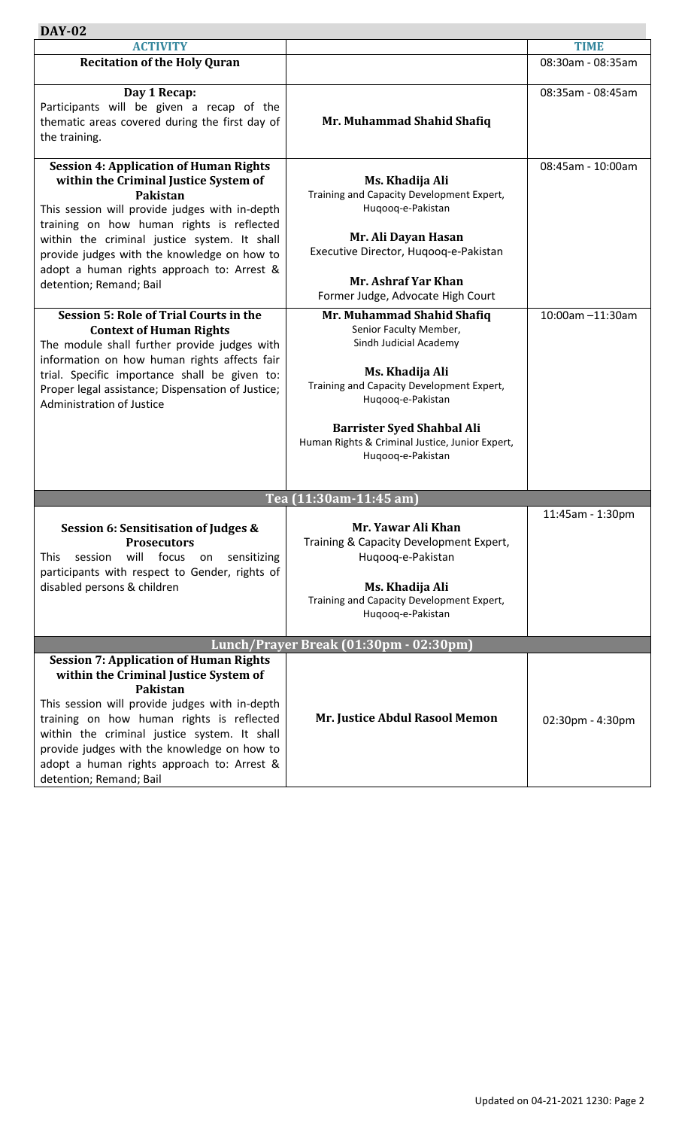| <b>DAY-02</b>                                                                                                                                                                                                                                                                                                                                                             |                                                                                                                                                                                                                                                                                  |                     |  |
|---------------------------------------------------------------------------------------------------------------------------------------------------------------------------------------------------------------------------------------------------------------------------------------------------------------------------------------------------------------------------|----------------------------------------------------------------------------------------------------------------------------------------------------------------------------------------------------------------------------------------------------------------------------------|---------------------|--|
| <b>ACTIVITY</b>                                                                                                                                                                                                                                                                                                                                                           |                                                                                                                                                                                                                                                                                  | <b>TIME</b>         |  |
| <b>Recitation of the Holy Quran</b>                                                                                                                                                                                                                                                                                                                                       |                                                                                                                                                                                                                                                                                  | 08:30am - 08:35am   |  |
| Day 1 Recap:<br>Participants will be given a recap of the<br>thematic areas covered during the first day of<br>the training.                                                                                                                                                                                                                                              | Mr. Muhammad Shahid Shafiq                                                                                                                                                                                                                                                       | 08:35am - 08:45am   |  |
| <b>Session 4: Application of Human Rights</b><br>within the Criminal Justice System of<br>Pakistan<br>This session will provide judges with in-depth<br>training on how human rights is reflected<br>within the criminal justice system. It shall<br>provide judges with the knowledge on how to<br>adopt a human rights approach to: Arrest &<br>detention; Remand; Bail | Ms. Khadija Ali<br>Training and Capacity Development Expert,<br>Huqooq-e-Pakistan<br>Mr. Ali Dayan Hasan<br>Executive Director, Huqooq-e-Pakistan<br>Mr. Ashraf Yar Khan<br>Former Judge, Advocate High Court                                                                    | 08:45am - 10:00am   |  |
| <b>Session 5: Role of Trial Courts in the</b><br><b>Context of Human Rights</b><br>The module shall further provide judges with<br>information on how human rights affects fair<br>trial. Specific importance shall be given to:<br>Proper legal assistance; Dispensation of Justice;<br>Administration of Justice                                                        | Mr. Muhammad Shahid Shafiq<br>Senior Faculty Member,<br>Sindh Judicial Academy<br>Ms. Khadija Ali<br>Training and Capacity Development Expert,<br>Huqooq-e-Pakistan<br><b>Barrister Syed Shahbal Ali</b><br>Human Rights & Criminal Justice, Junior Expert,<br>Huqooq-e-Pakistan | 10:00am -11:30am    |  |
|                                                                                                                                                                                                                                                                                                                                                                           | Tea (11:30am-11:45 am)                                                                                                                                                                                                                                                           |                     |  |
| <b>Session 6: Sensitisation of Judges &amp;</b><br><b>Prosecutors</b><br>will<br>focus<br>session<br>sensitizing<br>This<br>on<br>participants with respect to Gender, rights of<br>disabled persons & children                                                                                                                                                           | Mr. Yawar Ali Khan<br>Training & Capacity Development Expert,<br>Huqooq-e-Pakistan<br>Ms. Khadija Ali<br>Training and Capacity Development Expert,<br>Huqooq-e-Pakistan                                                                                                          | 11:45am - 1:30pm    |  |
| Lunch/Prayer Break (01:30pm - 02:30pm)                                                                                                                                                                                                                                                                                                                                    |                                                                                                                                                                                                                                                                                  |                     |  |
| <b>Session 7: Application of Human Rights</b><br>within the Criminal Justice System of<br>Pakistan<br>This session will provide judges with in-depth<br>training on how human rights is reflected<br>within the criminal justice system. It shall<br>provide judges with the knowledge on how to<br>adopt a human rights approach to: Arrest &<br>detention; Remand; Bail | Mr. Justice Abdul Rasool Memon                                                                                                                                                                                                                                                   | $02:30$ pm - 4:30pm |  |